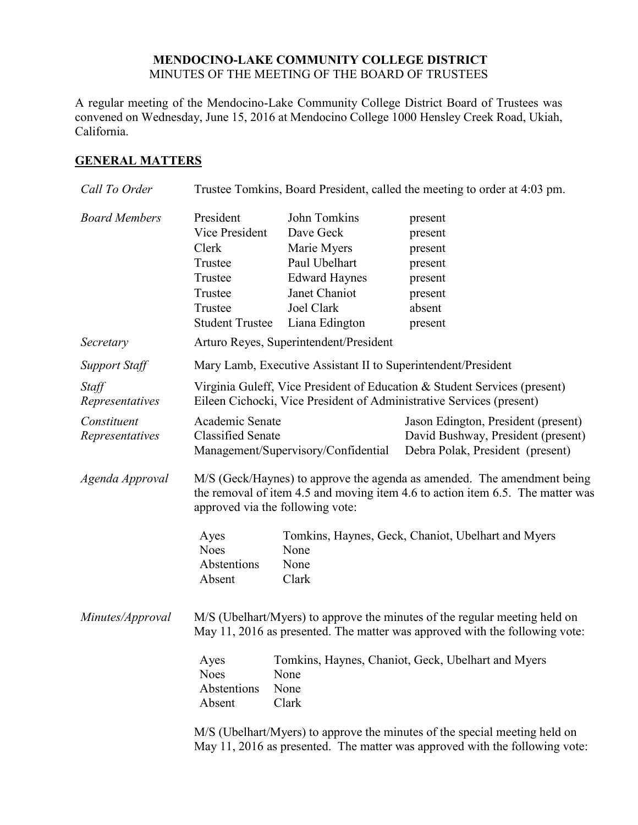### **MENDOCINO-LAKE COMMUNITY COLLEGE DISTRICT** MINUTES OF THE MEETING OF THE BOARD OF TRUSTEES

A regular meeting of the Mendocino-Lake Community College District Board of Trustees was convened on Wednesday, June 15, 2016 at Mendocino College 1000 Hensley Creek Road, Ukiah, California.

## **GENERAL MATTERS**

| President<br>Vice President<br>Clerk<br>Trustee<br>Trustee<br>Trustee<br>Trustee                                                                                                              | John Tomkins<br>Dave Geck<br>Marie Myers<br>Paul Ubelhart<br><b>Edward Haynes</b><br>Janet Chaniot<br>Joel Clark<br>Liana Edington | present<br>present<br>present<br>present<br>present<br>present<br>absent<br>present                                                                                                                                                                                                                                |
|-----------------------------------------------------------------------------------------------------------------------------------------------------------------------------------------------|------------------------------------------------------------------------------------------------------------------------------------|--------------------------------------------------------------------------------------------------------------------------------------------------------------------------------------------------------------------------------------------------------------------------------------------------------------------|
|                                                                                                                                                                                               |                                                                                                                                    |                                                                                                                                                                                                                                                                                                                    |
| Mary Lamb, Executive Assistant II to Superintendent/President                                                                                                                                 |                                                                                                                                    |                                                                                                                                                                                                                                                                                                                    |
| Virginia Guleff, Vice President of Education & Student Services (present)<br>Eileen Cichocki, Vice President of Administrative Services (present)                                             |                                                                                                                                    |                                                                                                                                                                                                                                                                                                                    |
|                                                                                                                                                                                               |                                                                                                                                    | Jason Edington, President (present)<br>David Bushway, President (present)<br>Debra Polak, President (present)                                                                                                                                                                                                      |
| M/S (Geck/Haynes) to approve the agenda as amended. The amendment being<br>the removal of item 4.5 and moving item 4.6 to action item 6.5. The matter was<br>approved via the following vote: |                                                                                                                                    |                                                                                                                                                                                                                                                                                                                    |
| Ayes<br><b>Noes</b><br>Abstentions<br>Absent                                                                                                                                                  | None<br>None<br>Clark                                                                                                              | Tomkins, Haynes, Geck, Chaniot, Ubelhart and Myers                                                                                                                                                                                                                                                                 |
| M/S (Ubelhart/Myers) to approve the minutes of the regular meeting held on<br>May 11, 2016 as presented. The matter was approved with the following vote:                                     |                                                                                                                                    |                                                                                                                                                                                                                                                                                                                    |
| Ayes<br><b>Noes</b><br>Abstentions<br>Absent                                                                                                                                                  | None<br>None<br>Clark                                                                                                              | Tomkins, Haynes, Chaniot, Geck, Ubelhart and Myers                                                                                                                                                                                                                                                                 |
|                                                                                                                                                                                               |                                                                                                                                    | Trustee Tomkins, Board President, called the meeting to order at 4:03 pm.<br><b>Student Trustee</b><br>Arturo Reyes, Superintendent/President<br>Academic Senate<br><b>Classified Senate</b><br>Management/Supervisory/Confidential<br>$M/S$ (Halbart/Myers) to approve the minutes of the special meeting held on |

M/S (Ubelhart/Myers) to approve the minutes of the special meeting held on May 11, 2016 as presented. The matter was approved with the following vote: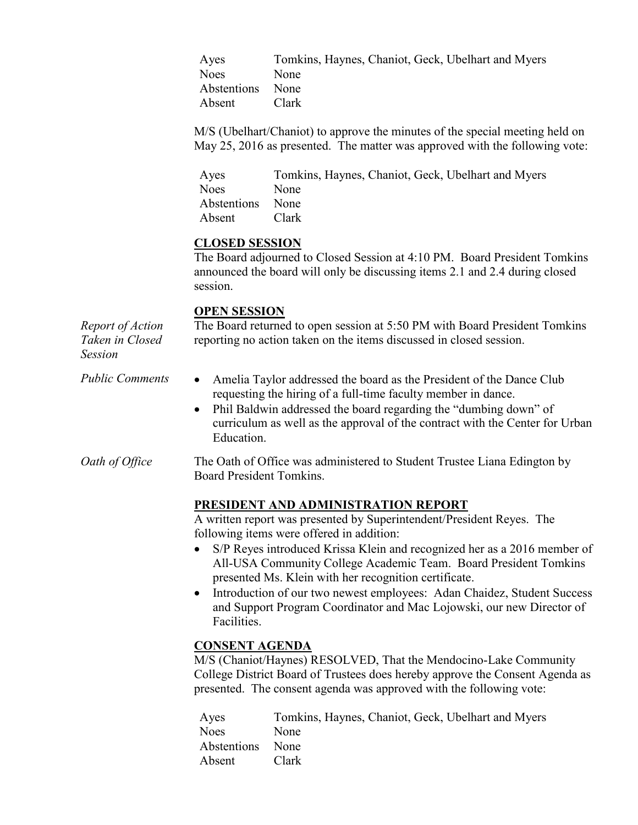| Ayes             | Tomkins, Haynes, Chaniot, Geck, Ubelhart and Myers |
|------------------|----------------------------------------------------|
| Noes             | <b>None</b>                                        |
| Abstentions None |                                                    |
| Absent           | Clark                                              |

M/S (Ubelhart/Chaniot) to approve the minutes of the special meeting held on May 25, 2016 as presented. The matter was approved with the following vote:

| Ayes             | Tomkins, Haynes, Chaniot, Geck, Ubelhart and Myers |
|------------------|----------------------------------------------------|
| <b>Noes</b>      | None                                               |
| Abstentions None |                                                    |
| Absent           | Clark                                              |

## **CLOSED SESSION**

The Board adjourned to Closed Session at 4:10 PM. Board President Tomkins announced the board will only be discussing items 2.1 and 2.4 during closed session.

### **OPEN SESSION**

*Report of Action Taken in Closed Session* The Board returned to open session at 5:50 PM with Board President Tomkins reporting no action taken on the items discussed in closed session.

- *Public Comments* Amelia Taylor addressed the board as the President of the Dance Club requesting the hiring of a full-time faculty member in dance.
	- Phil Baldwin addressed the board regarding the "dumbing down" of curriculum as well as the approval of the contract with the Center for Urban **Education**
- *Oath of Office* The Oath of Office was administered to Student Trustee Liana Edington by Board President Tomkins.

### **PRESIDENT AND ADMINISTRATION REPORT**

A written report was presented by Superintendent/President Reyes. The following items were offered in addition:

- S/P Reyes introduced Krissa Klein and recognized her as a 2016 member of All-USA Community College Academic Team. Board President Tomkins presented Ms. Klein with her recognition certificate.
- Introduction of our two newest employees: Adan Chaidez, Student Success and Support Program Coordinator and Mac Lojowski, our new Director of Facilities.

### **CONSENT AGENDA**

M/S (Chaniot/Haynes) RESOLVED, That the Mendocino-Lake Community College District Board of Trustees does hereby approve the Consent Agenda as presented. The consent agenda was approved with the following vote:

| Ayes             | Tomkins, Haynes, Chaniot, Geck, Ubelhart and Myers |
|------------------|----------------------------------------------------|
| <b>Noes</b>      | None                                               |
| Abstentions None |                                                    |
| Absent           | Clark                                              |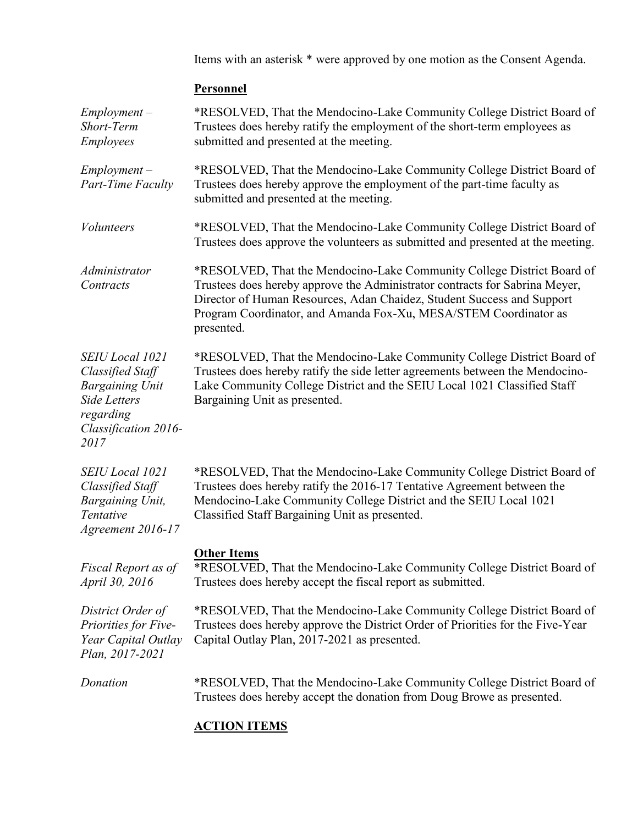Items with an asterisk \* were approved by one motion as the Consent Agenda.

# **Personnel**

| $Employment -$<br>Short-Term<br><b>Employees</b>                                                                                  | *RESOLVED, That the Mendocino-Lake Community College District Board of<br>Trustees does hereby ratify the employment of the short-term employees as<br>submitted and presented at the meeting.                                                                                                                    |
|-----------------------------------------------------------------------------------------------------------------------------------|-------------------------------------------------------------------------------------------------------------------------------------------------------------------------------------------------------------------------------------------------------------------------------------------------------------------|
| $Employment -$<br><b>Part-Time Faculty</b>                                                                                        | *RESOLVED, That the Mendocino-Lake Community College District Board of<br>Trustees does hereby approve the employment of the part-time faculty as<br>submitted and presented at the meeting.                                                                                                                      |
| <b>Volunteers</b>                                                                                                                 | *RESOLVED, That the Mendocino-Lake Community College District Board of<br>Trustees does approve the volunteers as submitted and presented at the meeting.                                                                                                                                                         |
| Administrator<br>Contracts                                                                                                        | *RESOLVED, That the Mendocino-Lake Community College District Board of<br>Trustees does hereby approve the Administrator contracts for Sabrina Meyer,<br>Director of Human Resources, Adan Chaidez, Student Success and Support<br>Program Coordinator, and Amanda Fox-Xu, MESA/STEM Coordinator as<br>presented. |
| SEIU Local 1021<br><b>Classified Staff</b><br><b>Bargaining Unit</b><br>Side Letters<br>regarding<br>Classification 2016-<br>2017 | *RESOLVED, That the Mendocino-Lake Community College District Board of<br>Trustees does hereby ratify the side letter agreements between the Mendocino-<br>Lake Community College District and the SEIU Local 1021 Classified Staff<br>Bargaining Unit as presented.                                              |
| SEIU Local 1021<br>Classified Staff<br><b>Bargaining Unit,</b><br>Tentative<br>Agreement 2016-17                                  | *RESOLVED, That the Mendocino-Lake Community College District Board of<br>Trustees does hereby ratify the 2016-17 Tentative Agreement between the<br>Mendocino-Lake Community College District and the SEIU Local 1021<br>Classified Staff Bargaining Unit as presented.                                          |
| Fiscal Report as of<br>April 30, 2016                                                                                             | <b>Other Items</b><br>*RESOLVED, That the Mendocino-Lake Community College District Board of<br>Trustees does hereby accept the fiscal report as submitted.                                                                                                                                                       |
| District Order of<br>Priorities for Five-<br>Year Capital Outlay<br>Plan, 2017-2021                                               | *RESOLVED, That the Mendocino-Lake Community College District Board of<br>Trustees does hereby approve the District Order of Priorities for the Five-Year<br>Capital Outlay Plan, 2017-2021 as presented.                                                                                                         |
| Donation                                                                                                                          | *RESOLVED, That the Mendocino-Lake Community College District Board of<br>Trustees does hereby accept the donation from Doug Browe as presented.                                                                                                                                                                  |

# **ACTION ITEMS**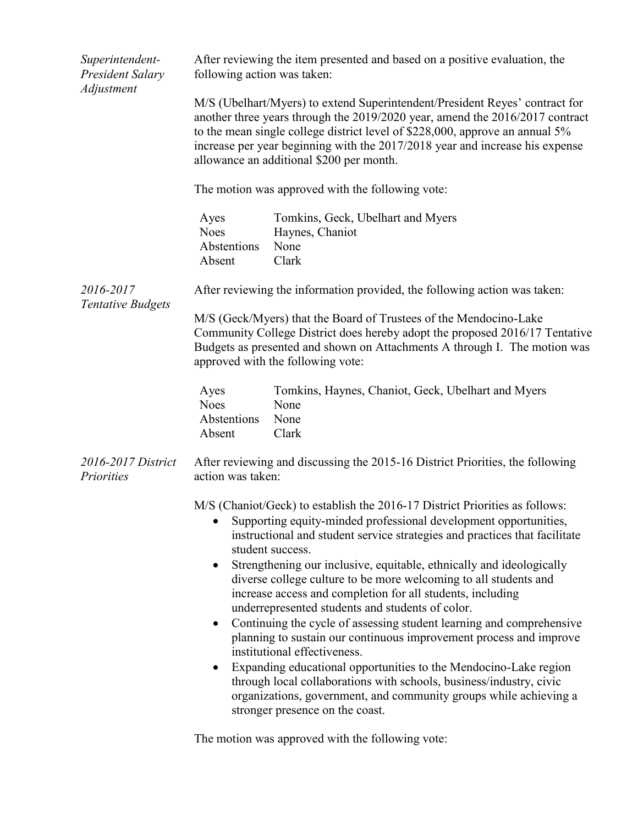| Superintendent-<br>President Salary<br>Adjustment | After reviewing the item presented and based on a positive evaluation, the<br>following action was taken:                                                                                                                                                                                                                                                                                                                   |                                                                                                                                                                                                                                                                                                                                                                                                                                                                                                                                                                                                                                                                                                                                                                                                                                                                                                                                                  |  |
|---------------------------------------------------|-----------------------------------------------------------------------------------------------------------------------------------------------------------------------------------------------------------------------------------------------------------------------------------------------------------------------------------------------------------------------------------------------------------------------------|--------------------------------------------------------------------------------------------------------------------------------------------------------------------------------------------------------------------------------------------------------------------------------------------------------------------------------------------------------------------------------------------------------------------------------------------------------------------------------------------------------------------------------------------------------------------------------------------------------------------------------------------------------------------------------------------------------------------------------------------------------------------------------------------------------------------------------------------------------------------------------------------------------------------------------------------------|--|
|                                                   | M/S (Ubelhart/Myers) to extend Superintendent/President Reyes' contract for<br>another three years through the 2019/2020 year, amend the 2016/2017 contract<br>to the mean single college district level of \$228,000, approve an annual 5%<br>increase per year beginning with the 2017/2018 year and increase his expense<br>allowance an additional \$200 per month.<br>The motion was approved with the following vote: |                                                                                                                                                                                                                                                                                                                                                                                                                                                                                                                                                                                                                                                                                                                                                                                                                                                                                                                                                  |  |
|                                                   |                                                                                                                                                                                                                                                                                                                                                                                                                             |                                                                                                                                                                                                                                                                                                                                                                                                                                                                                                                                                                                                                                                                                                                                                                                                                                                                                                                                                  |  |
|                                                   | Ayes<br><b>Noes</b><br>Abstentions<br>Absent                                                                                                                                                                                                                                                                                                                                                                                | Tomkins, Geck, Ubelhart and Myers<br>Haynes, Chaniot<br>None<br>Clark                                                                                                                                                                                                                                                                                                                                                                                                                                                                                                                                                                                                                                                                                                                                                                                                                                                                            |  |
| 2016-2017<br><b>Tentative Budgets</b>             |                                                                                                                                                                                                                                                                                                                                                                                                                             | After reviewing the information provided, the following action was taken:                                                                                                                                                                                                                                                                                                                                                                                                                                                                                                                                                                                                                                                                                                                                                                                                                                                                        |  |
|                                                   | M/S (Geck/Myers) that the Board of Trustees of the Mendocino-Lake<br>Community College District does hereby adopt the proposed 2016/17 Tentative<br>Budgets as presented and shown on Attachments A through I. The motion was<br>approved with the following vote:                                                                                                                                                          |                                                                                                                                                                                                                                                                                                                                                                                                                                                                                                                                                                                                                                                                                                                                                                                                                                                                                                                                                  |  |
|                                                   | Ayes<br><b>Noes</b><br>Abstentions<br>Absent                                                                                                                                                                                                                                                                                                                                                                                | Tomkins, Haynes, Chaniot, Geck, Ubelhart and Myers<br>None<br>None<br>Clark                                                                                                                                                                                                                                                                                                                                                                                                                                                                                                                                                                                                                                                                                                                                                                                                                                                                      |  |
| 2016-2017 District<br>Priorities                  | action was taken:                                                                                                                                                                                                                                                                                                                                                                                                           | After reviewing and discussing the 2015-16 District Priorities, the following                                                                                                                                                                                                                                                                                                                                                                                                                                                                                                                                                                                                                                                                                                                                                                                                                                                                    |  |
|                                                   | ٠<br>٠<br>٠                                                                                                                                                                                                                                                                                                                                                                                                                 | M/S (Chaniot/Geck) to establish the 2016-17 District Priorities as follows:<br>Supporting equity-minded professional development opportunities,<br>instructional and student service strategies and practices that facilitate<br>student success.<br>Strengthening our inclusive, equitable, ethnically and ideologically<br>diverse college culture to be more welcoming to all students and<br>increase access and completion for all students, including<br>underrepresented students and students of color.<br>Continuing the cycle of assessing student learning and comprehensive<br>planning to sustain our continuous improvement process and improve<br>institutional effectiveness.<br>Expanding educational opportunities to the Mendocino-Lake region<br>through local collaborations with schools, business/industry, civic<br>organizations, government, and community groups while achieving a<br>stronger presence on the coast. |  |

The motion was approved with the following vote: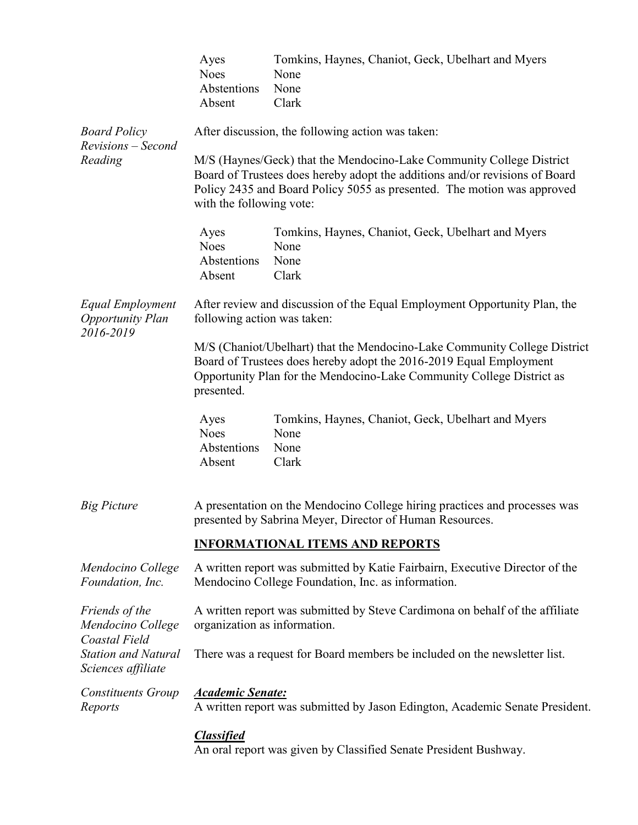|                                                                                                          | Ayes<br><b>Noes</b><br>Abstentions<br>Absent                                                                                                                                                                                                               | Tomkins, Haynes, Chaniot, Geck, Ubelhart and Myers<br>None<br>None<br>Clark                                                            |  |
|----------------------------------------------------------------------------------------------------------|------------------------------------------------------------------------------------------------------------------------------------------------------------------------------------------------------------------------------------------------------------|----------------------------------------------------------------------------------------------------------------------------------------|--|
| <b>Board Policy</b><br>Revisions - Second<br>Reading                                                     | After discussion, the following action was taken:                                                                                                                                                                                                          |                                                                                                                                        |  |
|                                                                                                          | M/S (Haynes/Geck) that the Mendocino-Lake Community College District<br>Board of Trustees does hereby adopt the additions and/or revisions of Board<br>Policy 2435 and Board Policy 5055 as presented. The motion was approved<br>with the following vote: |                                                                                                                                        |  |
|                                                                                                          | Ayes<br><b>Noes</b><br>Abstentions<br>Absent                                                                                                                                                                                                               | Tomkins, Haynes, Chaniot, Geck, Ubelhart and Myers<br>None<br>None<br>Clark                                                            |  |
| Equal Employment<br><b>Opportunity Plan</b><br>2016-2019                                                 | After review and discussion of the Equal Employment Opportunity Plan, the<br>following action was taken:                                                                                                                                                   |                                                                                                                                        |  |
|                                                                                                          | M/S (Chaniot/Ubelhart) that the Mendocino-Lake Community College District<br>Board of Trustees does hereby adopt the 2016-2019 Equal Employment<br>Opportunity Plan for the Mendocino-Lake Community College District as<br>presented.                     |                                                                                                                                        |  |
|                                                                                                          | Ayes<br><b>Noes</b><br>Abstentions<br>Absent                                                                                                                                                                                                               | Tomkins, Haynes, Chaniot, Geck, Ubelhart and Myers<br>None<br>None<br>Clark                                                            |  |
| <b>Big Picture</b>                                                                                       |                                                                                                                                                                                                                                                            | A presentation on the Mendocino College hiring practices and processes was<br>presented by Sabrina Meyer, Director of Human Resources. |  |
|                                                                                                          |                                                                                                                                                                                                                                                            | <b>INFORMATIONAL ITEMS AND REPORTS</b>                                                                                                 |  |
| Mendocino College<br>Foundation, Inc.                                                                    | A written report was submitted by Katie Fairbairn, Executive Director of the<br>Mendocino College Foundation, Inc. as information.                                                                                                                         |                                                                                                                                        |  |
| Friends of the<br>Mendocino College<br>Coastal Field<br><b>Station and Natural</b><br>Sciences affiliate | A written report was submitted by Steve Cardimona on behalf of the affiliate<br>organization as information.                                                                                                                                               |                                                                                                                                        |  |
|                                                                                                          | There was a request for Board members be included on the newsletter list.                                                                                                                                                                                  |                                                                                                                                        |  |
| Constituents Group<br>Reports                                                                            | <b>Academic Senate:</b>                                                                                                                                                                                                                                    | A written report was submitted by Jason Edington, Academic Senate President.                                                           |  |
|                                                                                                          | <b>Classified</b>                                                                                                                                                                                                                                          | An oral report was given by Classified Senate President Bushway.                                                                       |  |